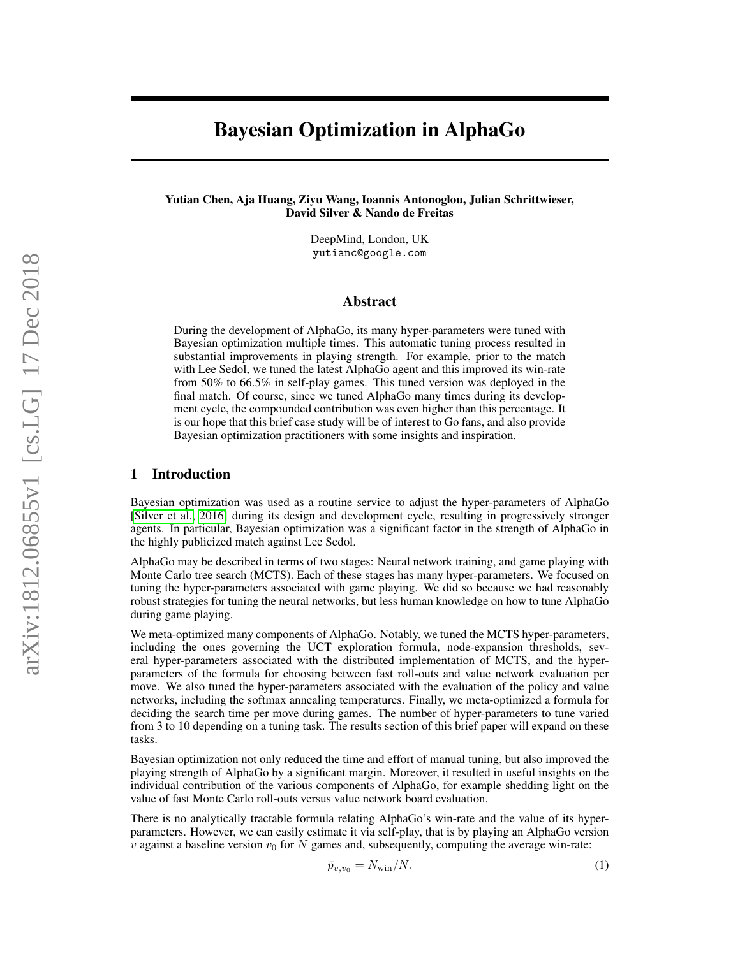# Bayesian Optimization in AlphaGo

Yutian Chen, Aja Huang, Ziyu Wang, Ioannis Antonoglou, Julian Schrittwieser, David Silver & Nando de Freitas

> DeepMind, London, UK yutianc@google.com

## Abstract

During the development of AlphaGo, its many hyper-parameters were tuned with Bayesian optimization multiple times. This automatic tuning process resulted in substantial improvements in playing strength. For example, prior to the match with Lee Sedol, we tuned the latest AlphaGo agent and this improved its win-rate from 50% to 66.5% in self-play games. This tuned version was deployed in the final match. Of course, since we tuned AlphaGo many times during its development cycle, the compounded contribution was even higher than this percentage. It is our hope that this brief case study will be of interest to Go fans, and also provide Bayesian optimization practitioners with some insights and inspiration.

## 1 Introduction

Bayesian optimization was used as a routine service to adjust the hyper-parameters of AlphaGo [\[Silver et al., 2016\]](#page-6-0) during its design and development cycle, resulting in progressively stronger agents. In particular, Bayesian optimization was a significant factor in the strength of AlphaGo in the highly publicized match against Lee Sedol.

AlphaGo may be described in terms of two stages: Neural network training, and game playing with Monte Carlo tree search (MCTS). Each of these stages has many hyper-parameters. We focused on tuning the hyper-parameters associated with game playing. We did so because we had reasonably robust strategies for tuning the neural networks, but less human knowledge on how to tune AlphaGo during game playing.

We meta-optimized many components of AlphaGo. Notably, we tuned the MCTS hyper-parameters, including the ones governing the UCT exploration formula, node-expansion thresholds, several hyper-parameters associated with the distributed implementation of MCTS, and the hyperparameters of the formula for choosing between fast roll-outs and value network evaluation per move. We also tuned the hyper-parameters associated with the evaluation of the policy and value networks, including the softmax annealing temperatures. Finally, we meta-optimized a formula for deciding the search time per move during games. The number of hyper-parameters to tune varied from 3 to 10 depending on a tuning task. The results section of this brief paper will expand on these tasks.

Bayesian optimization not only reduced the time and effort of manual tuning, but also improved the playing strength of AlphaGo by a significant margin. Moreover, it resulted in useful insights on the individual contribution of the various components of AlphaGo, for example shedding light on the value of fast Monte Carlo roll-outs versus value network board evaluation.

There is no analytically tractable formula relating AlphaGo's win-rate and the value of its hyperparameters. However, we can easily estimate it via self-play, that is by playing an AlphaGo version  $v$  against a baseline version  $v_0$  for N games and, subsequently, computing the average win-rate:

$$
\bar{p}_{v,v_0} = N_{\text{win}}/N. \tag{1}
$$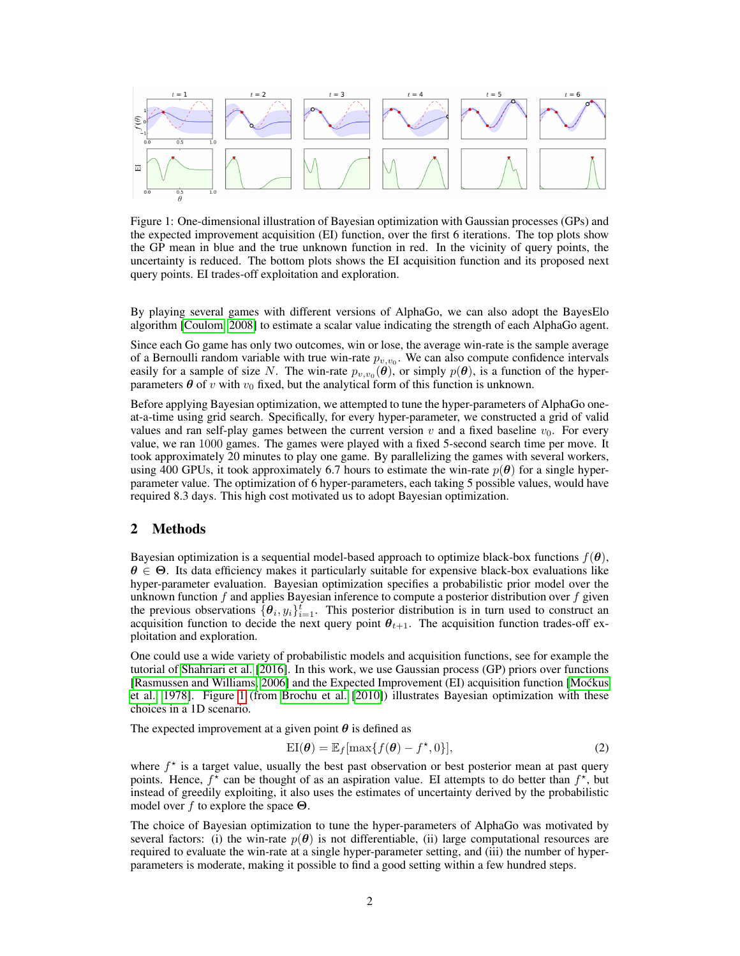<span id="page-1-0"></span>

Figure 1: One-dimensional illustration of Bayesian optimization with Gaussian processes (GPs) and the expected improvement acquisition (EI) function, over the first 6 iterations. The top plots show the GP mean in blue and the true unknown function in red. In the vicinity of query points, the uncertainty is reduced. The bottom plots shows the EI acquisition function and its proposed next query points. EI trades-off exploitation and exploration.

By playing several games with different versions of AlphaGo, we can also adopt the BayesElo algorithm [\[Coulom, 2008\]](#page-6-1) to estimate a scalar value indicating the strength of each AlphaGo agent.

Since each Go game has only two outcomes, win or lose, the average win-rate is the sample average of a Bernoulli random variable with true win-rate  $p_{v,v_0}$ . We can also compute confidence intervals easily for a sample of size N. The win-rate  $p_{v,v_0}(\theta)$ , or simply  $p(\theta)$ , is a function of the hyperparameters  $\theta$  of v with  $v_0$  fixed, but the analytical form of this function is unknown.

Before applying Bayesian optimization, we attempted to tune the hyper-parameters of AlphaGo oneat-a-time using grid search. Specifically, for every hyper-parameter, we constructed a grid of valid values and ran self-play games between the current version  $v$  and a fixed baseline  $v_0$ . For every value, we ran 1000 games. The games were played with a fixed 5-second search time per move. It took approximately 20 minutes to play one game. By parallelizing the games with several workers, using 400 GPUs, it took approximately 6.7 hours to estimate the win-rate  $p(\theta)$  for a single hyperparameter value. The optimization of 6 hyper-parameters, each taking 5 possible values, would have required 8.3 days. This high cost motivated us to adopt Bayesian optimization.

#### 2 Methods

Bayesian optimization is a sequential model-based approach to optimize black-box functions  $f(\theta)$ ,  $\theta \in \Theta$ . Its data efficiency makes it particularly suitable for expensive black-box evaluations like hyper-parameter evaluation. Bayesian optimization specifies a probabilistic prior model over the unknown function  $f$  and applies Bayesian inference to compute a posterior distribution over  $f$  given the previous observations  $\{\theta_i, y_i\}_{i=1}^t$ . This posterior distribution is in turn used to construct an acquisition function to decide the next query point  $\theta_{t+1}$ . The acquisition function trades-off exploitation and exploration.

One could use a wide variety of probabilistic models and acquisition functions, see for example the tutorial of [Shahriari et al.](#page-6-2) [\[2016\]](#page-6-2). In this work, we use Gaussian process (GP) priors over functions [\[Rasmussen and Williams, 2006\]](#page-6-3) and the Expected Improvement (EI) acquisition function [\[Mockus](#page-6-4) ´ [et al., 1978\]](#page-6-4). Figure [1](#page-1-0) (from [Brochu et al.](#page-6-5) [\[2010\]](#page-6-5)) illustrates Bayesian optimization with these choices in a 1D scenario.

The expected improvement at a given point  $\theta$  is defined as

$$
EI(\boldsymbol{\theta}) = \mathbb{E}_f[\max\{f(\boldsymbol{\theta}) - f^{\star}, 0\}],
$$
\n(2)

where  $f^*$  is a target value, usually the best past observation or best posterior mean at past query points. Hence,  $f^*$  can be thought of as an aspiration value. EI attempts to do better than  $f^*$ , but instead of greedily exploiting, it also uses the estimates of uncertainty derived by the probabilistic model over f to explore the space  $\Theta$ .

The choice of Bayesian optimization to tune the hyper-parameters of AlphaGo was motivated by several factors: (i) the win-rate  $p(\theta)$  is not differentiable, (ii) large computational resources are required to evaluate the win-rate at a single hyper-parameter setting, and (iii) the number of hyperparameters is moderate, making it possible to find a good setting within a few hundred steps.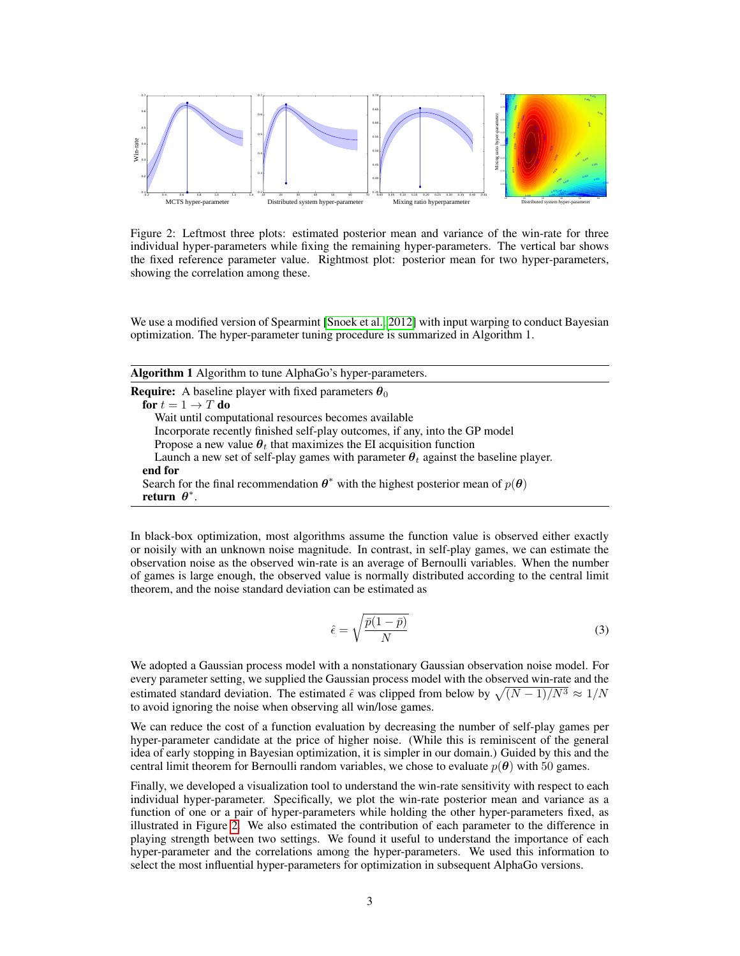<span id="page-2-0"></span>

Figure 2: Leftmost three plots: estimated posterior mean and variance of the win-rate for three individual hyper-parameters while fixing the remaining hyper-parameters. The vertical bar shows the fixed reference parameter value. Rightmost plot: posterior mean for two hyper-parameters, showing the correlation among these.

We use a modified version of Spearmint [\[Snoek et al., 2012\]](#page-6-6) with input warping to conduct Bayesian optimization. The hyper-parameter tuning procedure is summarized in Algorithm 1.

| <b>Algorithm 1</b> Algorithm to tune AlphaGo's hyper-parameters.                                                     |
|----------------------------------------------------------------------------------------------------------------------|
| <b>Require:</b> A baseline player with fixed parameters $\theta_0$                                                   |
| for $t = 1 \rightarrow T$ do                                                                                         |
| Wait until computational resources becomes available                                                                 |
| Incorporate recently finished self-play outcomes, if any, into the GP model                                          |
| Propose a new value $\theta_t$ that maximizes the EI acquisition function                                            |
| Launch a new set of self-play games with parameter $\theta_t$ against the baseline player.                           |
| end for                                                                                                              |
| Search for the final recommendation $\theta^*$ with the highest posterior mean of $p(\theta)$<br>return $\theta^*$ . |

In black-box optimization, most algorithms assume the function value is observed either exactly or noisily with an unknown noise magnitude. In contrast, in self-play games, we can estimate the observation noise as the observed win-rate is an average of Bernoulli variables. When the number of games is large enough, the observed value is normally distributed according to the central limit theorem, and the noise standard deviation can be estimated as

$$
\hat{\epsilon} = \sqrt{\frac{\bar{p}(1-\bar{p})}{N}}\tag{3}
$$

We adopted a Gaussian process model with a nonstationary Gaussian observation noise model. For every parameter setting, we supplied the Gaussian process model with the observed win-rate and the estimated standard deviation. The estimated  $\hat{\epsilon}$  was clipped from below by  $\sqrt{(N-1)/N^3} \approx 1/N$ to avoid ignoring the noise when observing all win/lose games.

We can reduce the cost of a function evaluation by decreasing the number of self-play games per hyper-parameter candidate at the price of higher noise. (While this is reminiscent of the general idea of early stopping in Bayesian optimization, it is simpler in our domain.) Guided by this and the central limit theorem for Bernoulli random variables, we chose to evaluate  $p(\theta)$  with 50 games.

Finally, we developed a visualization tool to understand the win-rate sensitivity with respect to each individual hyper-parameter. Specifically, we plot the win-rate posterior mean and variance as a function of one or a pair of hyper-parameters while holding the other hyper-parameters fixed, as illustrated in Figure [2.](#page-2-0) We also estimated the contribution of each parameter to the difference in playing strength between two settings. We found it useful to understand the importance of each hyper-parameter and the correlations among the hyper-parameters. We used this information to select the most influential hyper-parameters for optimization in subsequent AlphaGo versions.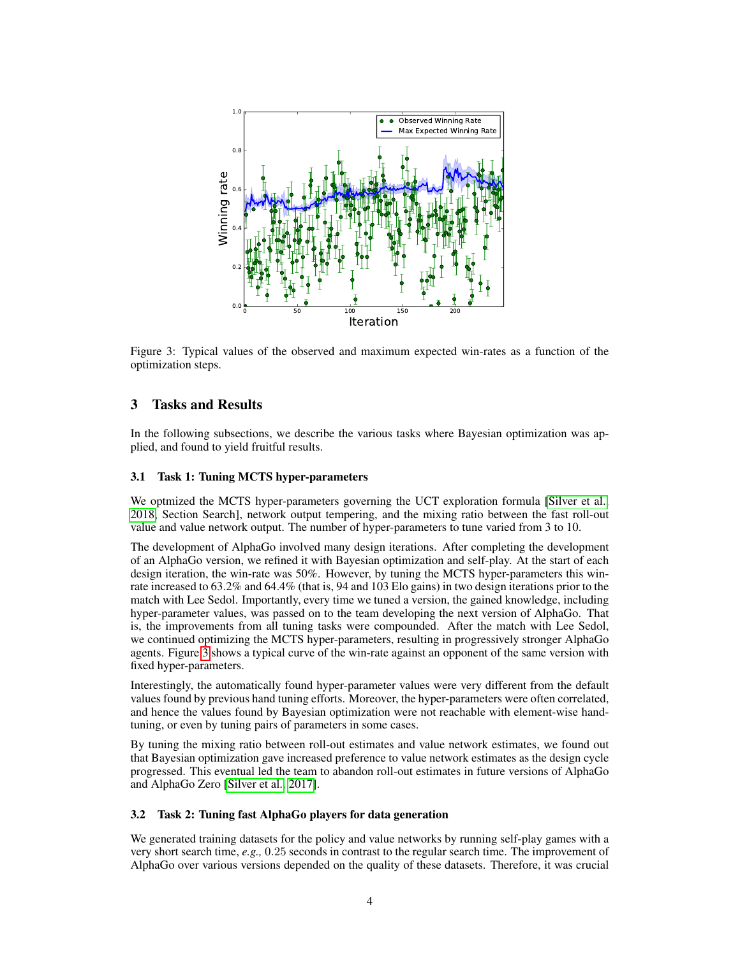<span id="page-3-0"></span>

Figure 3: Typical values of the observed and maximum expected win-rates as a function of the optimization steps.

## 3 Tasks and Results

In the following subsections, we describe the various tasks where Bayesian optimization was applied, and found to yield fruitful results.

#### 3.1 Task 1: Tuning MCTS hyper-parameters

We optmized the MCTS hyper-parameters governing the UCT exploration formula [\[Silver et al.,](#page-6-7) [2018,](#page-6-7) Section Search], network output tempering, and the mixing ratio between the fast roll-out value and value network output. The number of hyper-parameters to tune varied from 3 to 10.

The development of AlphaGo involved many design iterations. After completing the development of an AlphaGo version, we refined it with Bayesian optimization and self-play. At the start of each design iteration, the win-rate was 50%. However, by tuning the MCTS hyper-parameters this winrate increased to 63.2% and 64.4% (that is, 94 and 103 Elo gains) in two design iterations prior to the match with Lee Sedol. Importantly, every time we tuned a version, the gained knowledge, including hyper-parameter values, was passed on to the team developing the next version of AlphaGo. That is, the improvements from all tuning tasks were compounded. After the match with Lee Sedol, we continued optimizing the MCTS hyper-parameters, resulting in progressively stronger AlphaGo agents. Figure [3](#page-3-0) shows a typical curve of the win-rate against an opponent of the same version with fixed hyper-parameters.

Interestingly, the automatically found hyper-parameter values were very different from the default values found by previous hand tuning efforts. Moreover, the hyper-parameters were often correlated, and hence the values found by Bayesian optimization were not reachable with element-wise handtuning, or even by tuning pairs of parameters in some cases.

By tuning the mixing ratio between roll-out estimates and value network estimates, we found out that Bayesian optimization gave increased preference to value network estimates as the design cycle progressed. This eventual led the team to abandon roll-out estimates in future versions of AlphaGo and AlphaGo Zero [\[Silver et al., 2017\]](#page-6-8).

#### 3.2 Task 2: Tuning fast AlphaGo players for data generation

We generated training datasets for the policy and value networks by running self-play games with a very short search time, *e.g.,* 0.25 seconds in contrast to the regular search time. The improvement of AlphaGo over various versions depended on the quality of these datasets. Therefore, it was crucial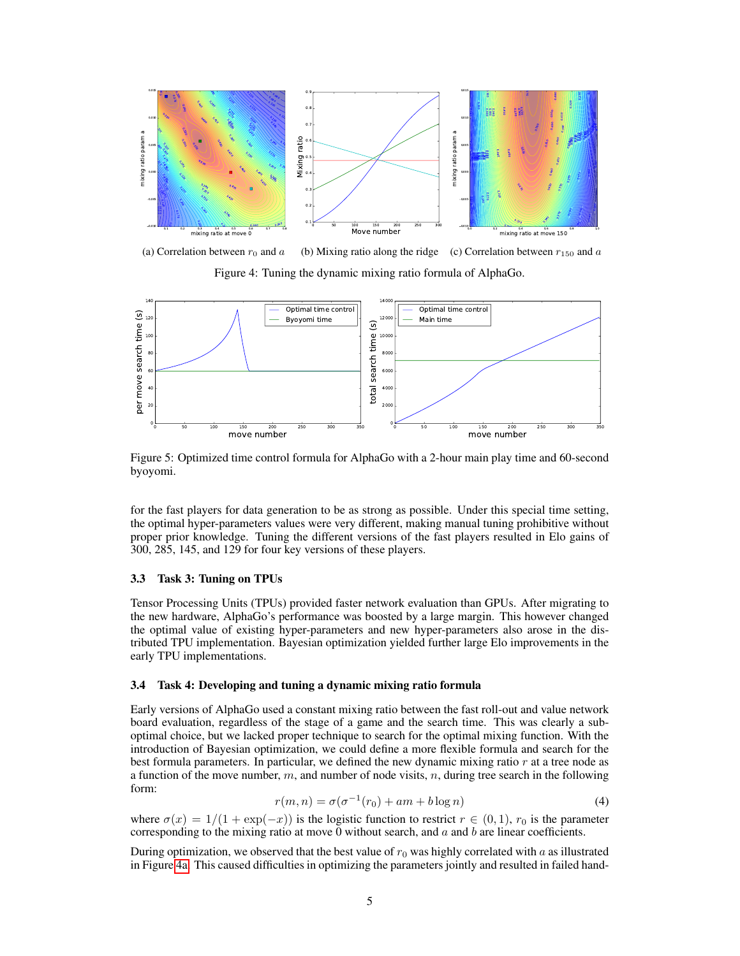<span id="page-4-0"></span>

(a) Correlation between  $r_0$  and a (b) Mixing ratio along the ridge (c) Correlation between  $r_{150}$  and a

Figure 4: Tuning the dynamic mixing ratio formula of AlphaGo.

<span id="page-4-1"></span>

Figure 5: Optimized time control formula for AlphaGo with a 2-hour main play time and 60-second byoyomi.

for the fast players for data generation to be as strong as possible. Under this special time setting, the optimal hyper-parameters values were very different, making manual tuning prohibitive without proper prior knowledge. Tuning the different versions of the fast players resulted in Elo gains of 300, 285, 145, and 129 for four key versions of these players.

#### 3.3 Task 3: Tuning on TPUs

Tensor Processing Units (TPUs) provided faster network evaluation than GPUs. After migrating to the new hardware, AlphaGo's performance was boosted by a large margin. This however changed the optimal value of existing hyper-parameters and new hyper-parameters also arose in the distributed TPU implementation. Bayesian optimization yielded further large Elo improvements in the early TPU implementations.

#### 3.4 Task 4: Developing and tuning a dynamic mixing ratio formula

Early versions of AlphaGo used a constant mixing ratio between the fast roll-out and value network board evaluation, regardless of the stage of a game and the search time. This was clearly a suboptimal choice, but we lacked proper technique to search for the optimal mixing function. With the introduction of Bayesian optimization, we could define a more flexible formula and search for the best formula parameters. In particular, we defined the new dynamic mixing ratio  $r$  at a tree node as a function of the move number,  $m$ , and number of node visits,  $n$ , during tree search in the following form:

$$
r(m,n) = \sigma(\sigma^{-1}(r_0) + am + b \log n)
$$
\n(4)

where  $\sigma(x) = 1/(1 + \exp(-x))$  is the logistic function to restrict  $r \in (0, 1)$ ,  $r_0$  is the parameter corresponding to the mixing ratio at move 0 without search, and  $a$  and  $b$  are linear coefficients.

During optimization, we observed that the best value of  $r_0$  was highly correlated with a as illustrated in Figure [4a.](#page-4-0) This caused difficulties in optimizing the parameters jointly and resulted in failed hand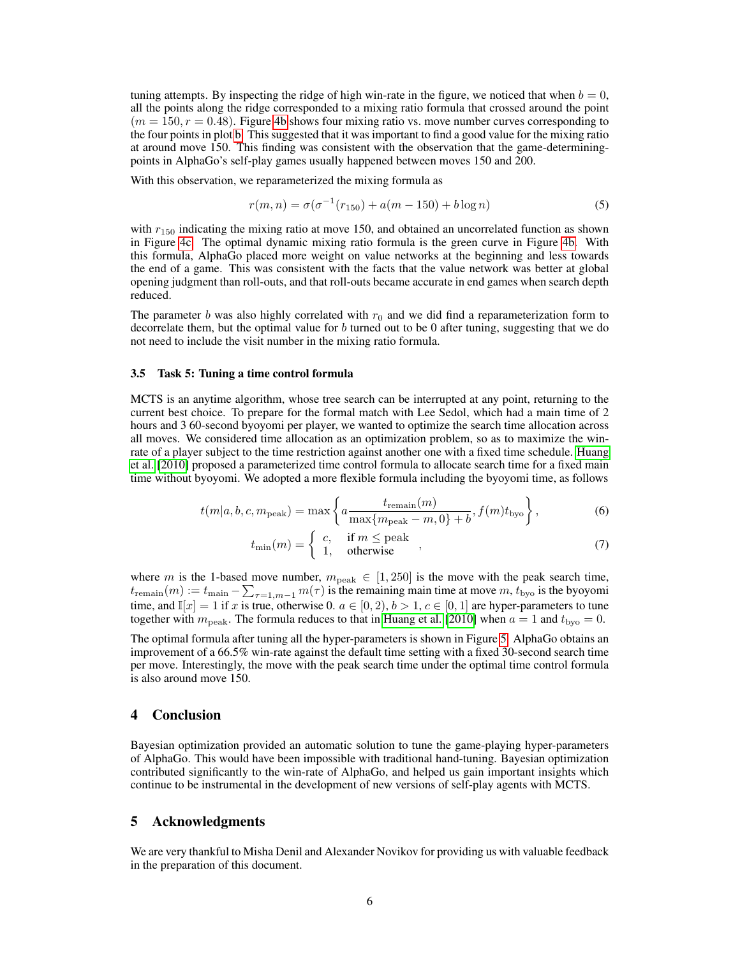tuning attempts. By inspecting the ridge of high win-rate in the figure, we noticed that when  $b = 0$ , all the points along the ridge corresponded to a mixing ratio formula that crossed around the point  $(m = 150, r = 0.48)$ . Figure [4b](#page-4-0) shows four mixing ratio vs. move number curves corresponding to the four points in plot [b.](#page-4-0) This suggested that it was important to find a good value for the mixing ratio at around move 150. This finding was consistent with the observation that the game-determiningpoints in AlphaGo's self-play games usually happened between moves 150 and 200.

With this observation, we reparameterized the mixing formula as

$$
r(m, n) = \sigma(\sigma^{-1}(r_{150}) + a(m - 150) + b \log n)
$$
\n(5)

with  $r_{150}$  indicating the mixing ratio at move 150, and obtained an uncorrelated function as shown in Figure [4c.](#page-4-0) The optimal dynamic mixing ratio formula is the green curve in Figure [4b.](#page-4-0) With this formula, AlphaGo placed more weight on value networks at the beginning and less towards the end of a game. This was consistent with the facts that the value network was better at global opening judgment than roll-outs, and that roll-outs became accurate in end games when search depth reduced.

The parameter b was also highly correlated with  $r_0$  and we did find a reparameterization form to decorrelate them, but the optimal value for  $b$  turned out to be 0 after tuning, suggesting that we do not need to include the visit number in the mixing ratio formula.

#### 3.5 Task 5: Tuning a time control formula

MCTS is an anytime algorithm, whose tree search can be interrupted at any point, returning to the current best choice. To prepare for the formal match with Lee Sedol, which had a main time of 2 hours and 3 60-second byoyomi per player, we wanted to optimize the search time allocation across all moves. We considered time allocation as an optimization problem, so as to maximize the winrate of a player subject to the time restriction against another one with a fixed time schedule. [Huang](#page-6-9) [et al.](#page-6-9) [\[2010\]](#page-6-9) proposed a parameterized time control formula to allocate search time for a fixed main time without byoyomi. We adopted a more flexible formula including the byoyomi time, as follows

$$
t(m|a, b, c, m_{\text{peak}}) = \max\left\{a \frac{t_{\text{remain}}(m)}{\max\{m_{\text{peak}} - m, 0\} + b}, f(m)t_{\text{byo}}\right\},\tag{6}
$$

$$
t_{\min}(m) = \begin{cases} c, & \text{if } m \leq \text{peak} \\ 1, & \text{otherwise} \end{cases},\tag{7}
$$

where m is the 1-based move number,  $m_{\text{peak}} \in [1, 250]$  is the move with the peak search time,  $t_{\text{remain}}(m) := t_{\text{main}} - \sum_{\tau=1,m-1} m(\tau)$  is the remaining main time at move  $m, t_{\text{byo}}$  is the byoyomi time, and  $\mathbb{I}[x] = 1$  if x is true, otherwise 0.  $a \in [0, 2)$ ,  $b > 1$ ,  $c \in [0, 1]$  are hyper-parameters to tune together with  $m_{\text{peak}}$ . The formula reduces to that in [Huang et al.](#page-6-9) [\[2010\]](#page-6-9) when  $a = 1$  and  $t_{\text{bvo}} = 0$ .

The optimal formula after tuning all the hyper-parameters is shown in Figure [5.](#page-4-1) AlphaGo obtains an improvement of a 66.5% win-rate against the default time setting with a fixed 30-second search time per move. Interestingly, the move with the peak search time under the optimal time control formula is also around move 150.

## 4 Conclusion

Bayesian optimization provided an automatic solution to tune the game-playing hyper-parameters of AlphaGo. This would have been impossible with traditional hand-tuning. Bayesian optimization contributed significantly to the win-rate of AlphaGo, and helped us gain important insights which continue to be instrumental in the development of new versions of self-play agents with MCTS.

## 5 Acknowledgments

We are very thankful to Misha Denil and Alexander Novikov for providing us with valuable feedback in the preparation of this document.